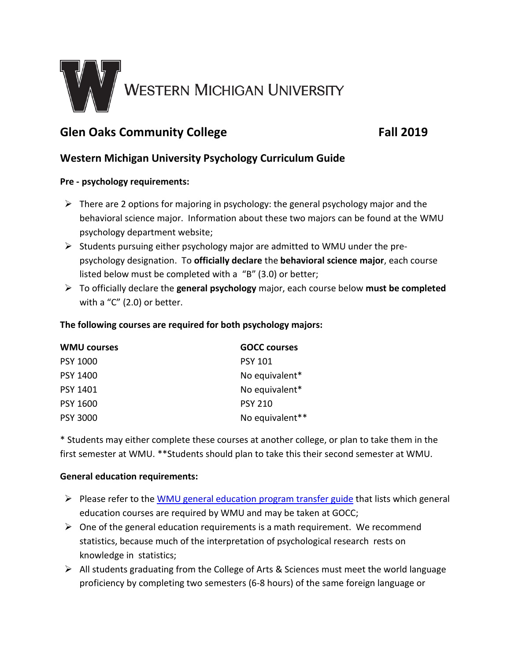

# **Glen Oaks Community College Fall 2019**

# **Western Michigan University Psychology Curriculum Guide**

## **Pre - psychology requirements:**

- $\triangleright$  There are 2 options for majoring in psychology: the general psychology major and the behavioral science major. Information about these two majors can be found at the WMU psychology department website;
- $\triangleright$  Students pursuing either psychology major are admitted to WMU under the prepsychology designation. To **officially declare** the **behavioral science major**, each course listed below must be completed with a "B" (3.0) or better;
- To officially declare the **general psychology** major, each course below **must be completed** with a "C" (2.0) or better.

## **The following courses are required for both psychology majors:**

| <b>WMU courses</b> | <b>GOCC courses</b> |
|--------------------|---------------------|
| <b>PSY 1000</b>    | <b>PSY 101</b>      |
| <b>PSY 1400</b>    | No equivalent*      |
| <b>PSY 1401</b>    | No equivalent*      |
| <b>PSY 1600</b>    | <b>PSY 210</b>      |
| <b>PSY 3000</b>    | No equivalent**     |

\* Students may either complete these courses at another college, or plan to take them in the first semester at WMU. \*\*Students should plan to take this their second semester at WMU.

#### **General education requirements:**

- $\triangleright$  Please refer to the [WMU general education program transfer guide](http://www.wmich.edu/admissions/transfer/guides/GOCC/gened) that lists which general education courses are required by WMU and may be taken at GOCC;
- $\triangleright$  One of the general education requirements is a math requirement. We recommend statistics, because much of the interpretation of psychological research rests on knowledge in statistics;
- $\triangleright$  All students graduating from the College of Arts & Sciences must meet the world language proficiency by completing two semesters (6-8 hours) of the same foreign language or